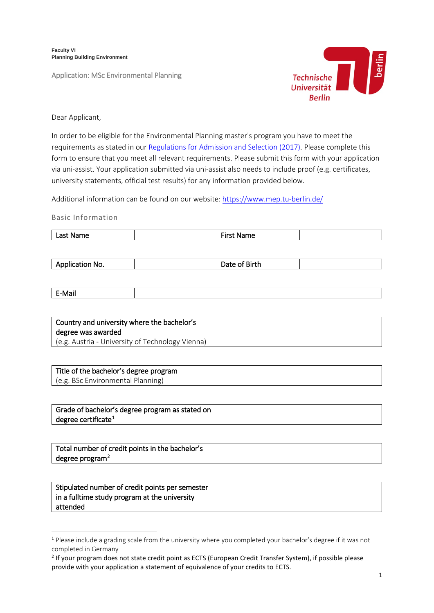**Faculty VI Planning Building Environment**

Application: MSc Environmental Planning



Dear Applicant,

In order to be eligible for the Environmental Planning master's program you have to meet the requirements as stated in our [Regulations for Admission and Selection \(2017\).](https://www.planen-bauen-umwelt.tu-berlin.de/fileadmin/f6/Studieng_nge/03_Ordnungen/EP_M_ZZO_171213_EN.pdf) Please complete this form to ensure that you meet all relevant requirements. Please submit this form with your application via uni-assist. Your application submitted via uni-assist also needs to include proof (e.g. certificates, university statements, official test results) for any information provided below.

Additional information can be found on our website:<https://www.mep.tu-berlin.de/>

Basic Information

| <br>. .<br>.<br>-<br>i It<br>י<br>--- |
|---------------------------------------|
|---------------------------------------|

| ----<br>No. | זור |  |
|-------------|-----|--|
|             |     |  |

| $F_{AB}$<br>$-100$ |  |
|--------------------|--|
|                    |  |

| Country and university where the bachelor's      |  |
|--------------------------------------------------|--|
| degree was awarded                               |  |
| (e.g. Austria - University of Technology Vienna) |  |

| Title of the bachelor's degree program |  |
|----------------------------------------|--|
| (e.g. BSc Environmental Planning)      |  |

| Grade of bachelor's degree program as stated on |  |
|-------------------------------------------------|--|
| degree certificate <sup>1</sup>                 |  |

| Total number of credit points in the bachelor's |  |
|-------------------------------------------------|--|
| degree program <sup>2</sup>                     |  |

| Stipulated number of credit points per semester |  |
|-------------------------------------------------|--|
| in a fulltime study program at the university   |  |
| attended                                        |  |

<span id="page-0-0"></span><sup>1</sup> Please include a grading scale from the university where you completed your bachelor's degree if it was not completed in Germany

<span id="page-0-1"></span><sup>&</sup>lt;sup>2</sup> If your program does not state credit point as ECTS (European Credit Transfer System), if possible please provide with your application a statement of equivalence of your credits to ECTS.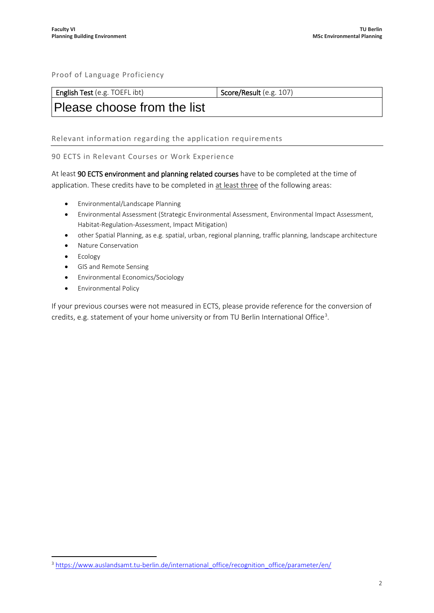# Proof of Language Proficiency

| <b>English Test</b> (e.g.<br><b>Score/Result</b> (e.g. $107$ )<br>TOEFL ibt) |
|------------------------------------------------------------------------------|
|------------------------------------------------------------------------------|

# Please choose from the list

Relevant information regarding the application requirements

#### 90 ECTS in Relevant Courses or Work Experience

At least 90 ECTS environment and planning related courses have to be completed at the time of application. These credits have to be completed in at least three of the following areas:

- Environmental/Landscape Planning
- Environmental Assessment (Strategic Environmental Assessment, Environmental Impact Assessment, Habitat-Regulation-Assessment, Impact Mitigation)
- other Spatial Planning, as e.g. spatial, urban, regional planning, traffic planning, landscape architecture
- Nature Conservation
- Ecology
- GIS and Remote Sensing
- Environmental Economics/Sociology
- Environmental Policy

If your previous courses were not measured in ECTS, please provide reference for the conversion of credits, e.g. statement of your home university or from TU Berlin International Office<sup>[3](#page-1-0)</sup>.

<span id="page-1-0"></span><sup>&</sup>lt;sup>3</sup> [https://www.auslandsamt.tu-berlin.de/international\\_office/recognition\\_office/parameter/en/](https://www.auslandsamt.tu-berlin.de/international_office/recognition_office/parameter/en/)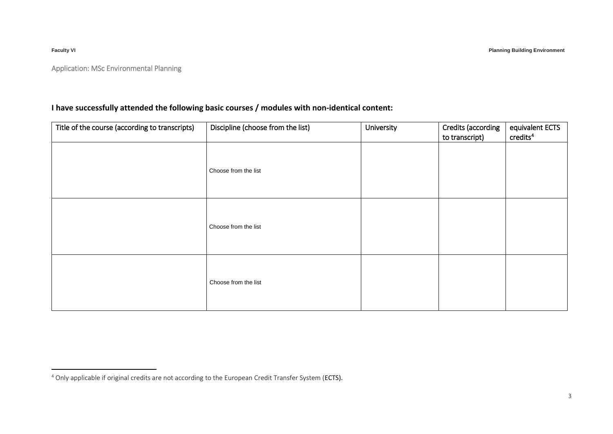**Faculty VI Planning Building Environment**

<span id="page-2-0"></span>

Application: MSc Environmental Planning

# **I have successfully attended the following basic courses / modules with non‐identical content:**

| Title of the course (according to transcripts) | Discipline (choose from the list) | University | Credits (according<br>to transcript) | equivalent ECTS<br>credits <sup>4</sup> |
|------------------------------------------------|-----------------------------------|------------|--------------------------------------|-----------------------------------------|
|                                                | Choose from the list              |            |                                      |                                         |
|                                                | Choose from the list              |            |                                      |                                         |
|                                                | Choose from the list              |            |                                      |                                         |

<sup>&</sup>lt;sup>4</sup> Only applicable if original credits are not according to the European Credit Transfer System (ECTS).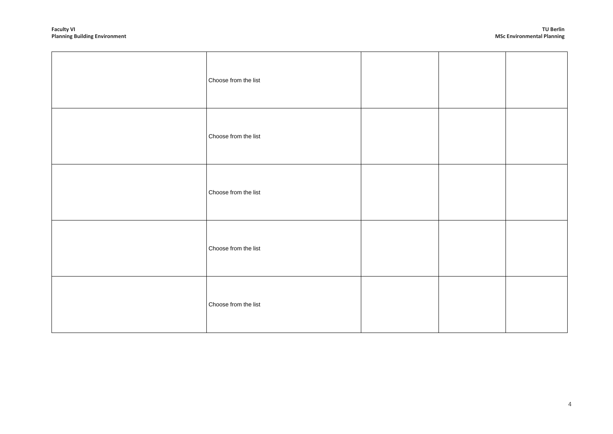| Choose from the list |  |                |
|----------------------|--|----------------|
| Choose from the list |  |                |
| Choose from the list |  |                |
| Choose from the list |  |                |
| Choose from the list |  |                |
|                      |  |                |
|                      |  | $\overline{4}$ |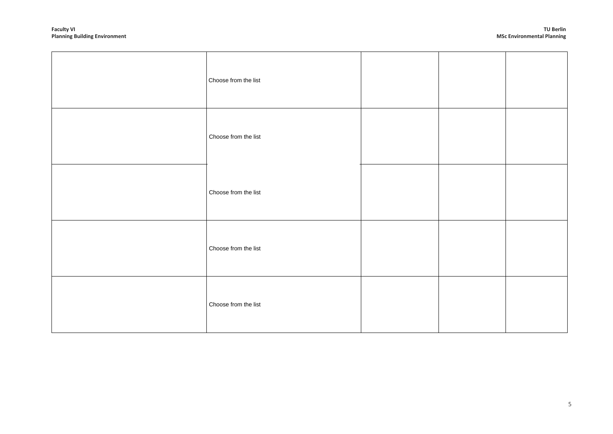| Choose from the list |  |   |
|----------------------|--|---|
| Choose from the list |  |   |
| Choose from the list |  |   |
| Choose from the list |  |   |
| Choose from the list |  |   |
|                      |  |   |
|                      |  | 5 |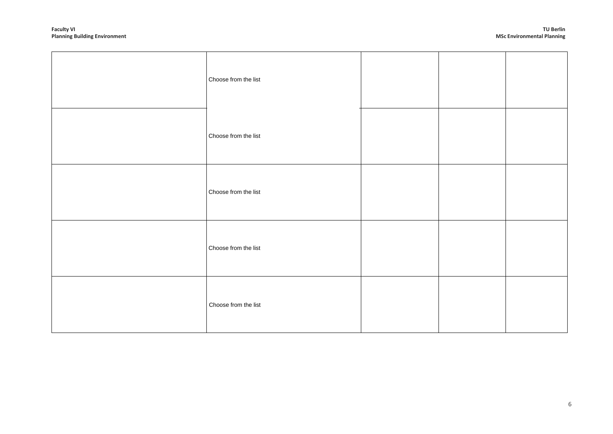| Choose from the list |  |             |
|----------------------|--|-------------|
| Choose from the list |  |             |
| Choose from the list |  |             |
| Choose from the list |  |             |
| Choose from the list |  |             |
|                      |  |             |
|                      |  | $\,$ 6 $\,$ |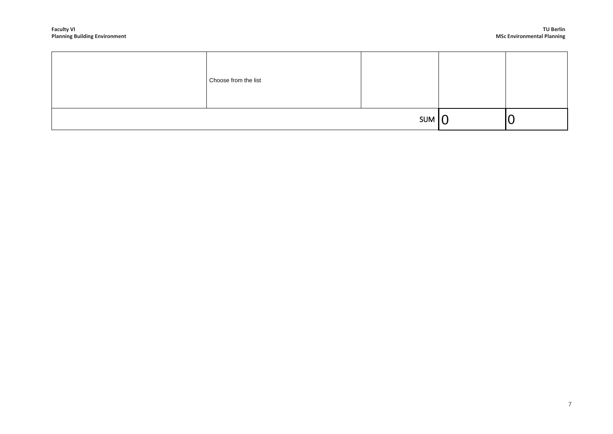|     | Choose from the list |  |  |
|-----|----------------------|--|--|
| SUM |                      |  |  |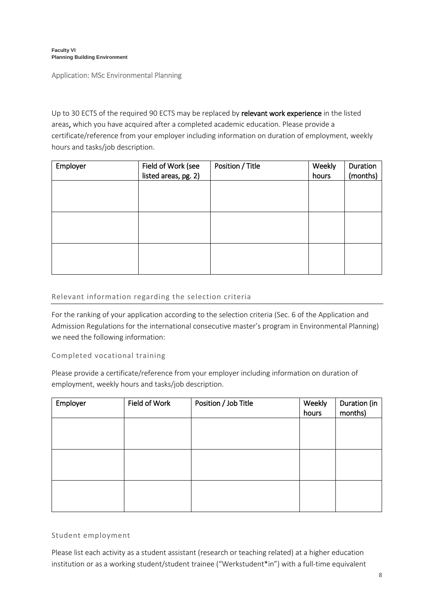Application: MSc Environmental Planning

Up to 30 ECTS of the required 90 ECTS may be replaced by relevant work experience in the listed areas, which you have acquired after a completed academic education. Please provide a certificate/reference from your employer including information on duration of employment, weekly hours and tasks/job description.

| Employer | Field of Work (see   | Position / Title | Weekly | Duration |
|----------|----------------------|------------------|--------|----------|
|          | listed areas, pg. 2) |                  | hours  | (months) |
|          |                      |                  |        |          |
|          |                      |                  |        |          |
|          |                      |                  |        |          |
|          |                      |                  |        |          |
|          |                      |                  |        |          |
|          |                      |                  |        |          |
|          |                      |                  |        |          |
|          |                      |                  |        |          |
|          |                      |                  |        |          |

#### Relevant information regarding the selection criteria

For the ranking of your application according to the selection criteria (Sec. 6 of the Application and Admission Regulations for the international consecutive master's program in Environmental Planning) we need the following information:

#### Completed vocational training

Please provide a certificate/reference from your employer including information on duration of employment, weekly hours and tasks/job description.

| Employer | Field of Work | Position / Job Title | Weekly<br>hours | Duration (in<br>months) |
|----------|---------------|----------------------|-----------------|-------------------------|
|          |               |                      |                 |                         |
|          |               |                      |                 |                         |
|          |               |                      |                 |                         |
|          |               |                      |                 |                         |
|          |               |                      |                 |                         |
|          |               |                      |                 |                         |

## Student employment

Please list each activity as a student assistant (research or teaching related) at a higher education institution or as a working student/student trainee ("Werkstudent\*in") with a full-time equivalent